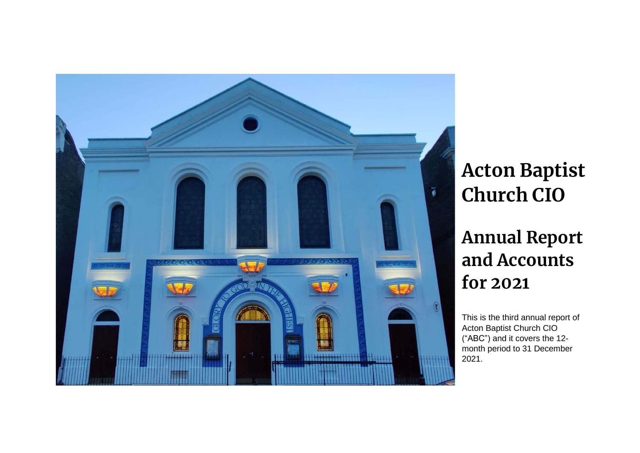

# **Acton Baptist Church CIO**

**Annual Report and Accounts for 2021**

This is the third annual report of Acton Baptist Church CIO ("ABC") and it covers the 12 month period to 31 December 2021.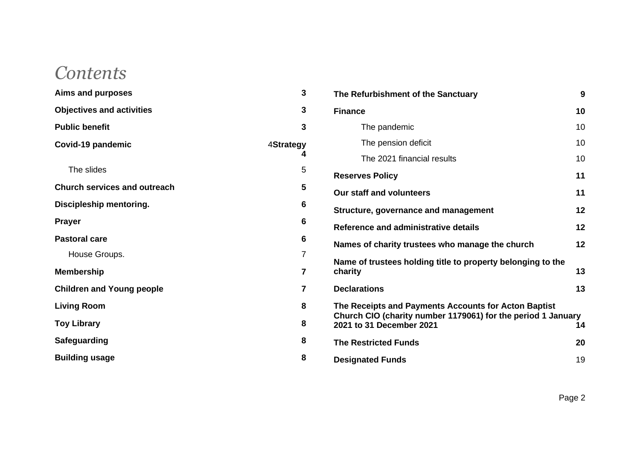# *Contents*

| <b>Aims and purposes</b>            | 3                     |
|-------------------------------------|-----------------------|
| <b>Objectives and activities</b>    | 3                     |
| <b>Public benefit</b>               | 3                     |
| Covid-19 pandemic                   | <b>4Strategy</b><br>4 |
| The slides                          | 5                     |
| <b>Church services and outreach</b> | 5                     |
| Discipleship mentoring.             | 6                     |
| <b>Prayer</b>                       | 6                     |
| <b>Pastoral care</b>                | 6                     |
| House Groups.                       | 7                     |
| <b>Membership</b>                   | 7                     |
| <b>Children and Young people</b>    | 7                     |
| <b>Living Room</b>                  | 8                     |
| <b>Toy Library</b>                  | 8                     |
| <b>Safeguarding</b>                 | 8                     |
| <b>Building usage</b>               | 8                     |

| The Refurbishment of the Sanctuary                                                                                                               | 9  |
|--------------------------------------------------------------------------------------------------------------------------------------------------|----|
| <b>Finance</b>                                                                                                                                   | 10 |
| The pandemic                                                                                                                                     | 10 |
| The pension deficit                                                                                                                              | 10 |
| The 2021 financial results                                                                                                                       | 10 |
| <b>Reserves Policy</b>                                                                                                                           | 11 |
| Our staff and volunteers                                                                                                                         | 11 |
| Structure, governance and management                                                                                                             | 12 |
| Reference and administrative details                                                                                                             | 12 |
| Names of charity trustees who manage the church                                                                                                  | 12 |
| Name of trustees holding title to property belonging to the<br>charity                                                                           | 13 |
| <b>Declarations</b>                                                                                                                              | 13 |
| The Receipts and Payments Accounts for Acton Baptist<br>Church CIO (charity number 1179061) for the period 1 January<br>2021 to 31 December 2021 | 14 |
| <b>The Restricted Funds</b>                                                                                                                      | 20 |
| <b>Designated Funds</b>                                                                                                                          | 19 |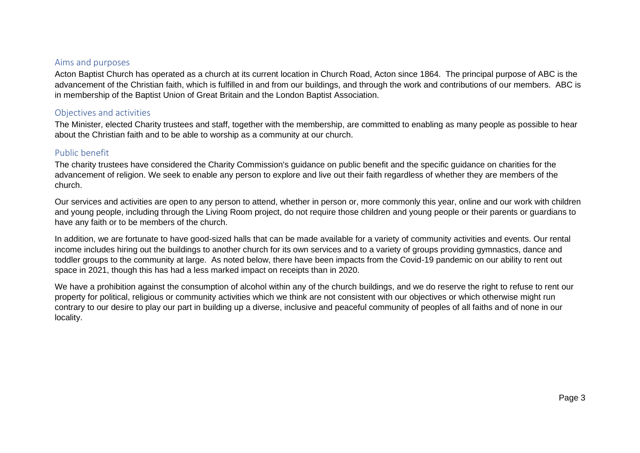## <span id="page-2-0"></span>Aims and purposes

Acton Baptist Church has operated as a church at its current location in Church Road, Acton since 1864. The principal purpose of ABC is the advancement of the Christian faith, which is fulfilled in and from our buildings, and through the work and contributions of our members. ABC is in membership of the Baptist Union of Great Britain and the London Baptist Association.

## <span id="page-2-1"></span>Objectives and activities

The Minister, elected Charity trustees and staff, together with the membership, are committed to enabling as many people as possible to hear about the Christian faith and to be able to worship as a community at our church.

# <span id="page-2-2"></span>Public benefit

The charity trustees have considered the Charity Commission's guidance on public benefit and the specific guidance on charities for the advancement of religion. We seek to enable any person to explore and live out their faith regardless of whether they are members of the church.

Our services and activities are open to any person to attend, whether in person or, more commonly this year, online and our work with children and young people, including through the Living Room project, do not require those children and young people or their parents or guardians to have any faith or to be members of the church.

In addition, we are fortunate to have good-sized halls that can be made available for a variety of community activities and events. Our rental income includes hiring out the buildings to another church for its own services and to a variety of groups providing gymnastics, dance and toddler groups to the community at large. As noted below, there have been impacts from the Covid-19 pandemic on our ability to rent out space in 2021, though this has had a less marked impact on receipts than in 2020.

We have a prohibition against the consumption of alcohol within any of the church buildings, and we do reserve the right to refuse to rent our property for political, religious or community activities which we think are not consistent with our objectives or which otherwise might run contrary to our desire to play our part in building up a diverse, inclusive and peaceful community of peoples of all faiths and of none in our locality.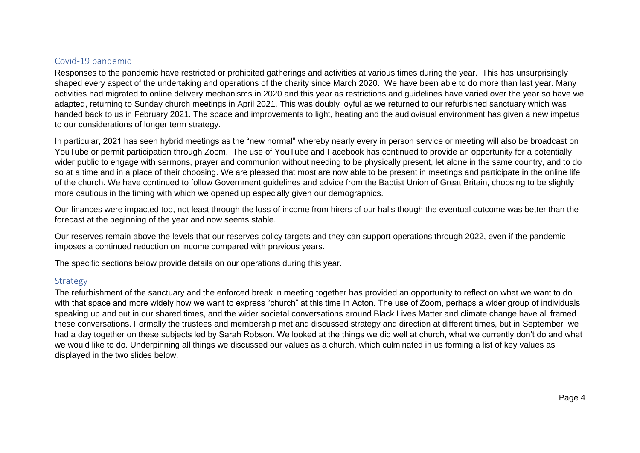# <span id="page-3-0"></span>Covid-19 pandemic

Responses to the pandemic have restricted or prohibited gatherings and activities at various times during the year. This has unsurprisingly shaped every aspect of the undertaking and operations of the charity since March 2020. We have been able to do more than last year. Many activities had migrated to online delivery mechanisms in 2020 and this year as restrictions and guidelines have varied over the year so have we adapted, returning to Sunday church meetings in April 2021. This was doubly joyful as we returned to our refurbished sanctuary which was handed back to us in February 2021. The space and improvements to light, heating and the audiovisual environment has given a new impetus to our considerations of longer term strategy.

In particular, 2021 has seen hybrid meetings as the "new normal" whereby nearly every in person service or meeting will also be broadcast on YouTube or permit participation through Zoom. The use of YouTube and Facebook has continued to provide an opportunity for a potentially wider public to engage with sermons, prayer and communion without needing to be physically present, let alone in the same country, and to do so at a time and in a place of their choosing. We are pleased that most are now able to be present in meetings and participate in the online life of the church. We have continued to follow Government guidelines and advice from the Baptist Union of Great Britain, choosing to be slightly more cautious in the timing with which we opened up especially given our demographics.

Our finances were impacted too, not least through the loss of income from hirers of our halls though the eventual outcome was better than the forecast at the beginning of the year and now seems stable.

Our reserves remain above the levels that our reserves policy targets and they can support operations through 2022, even if the pandemic imposes a continued reduction on income compared with previous years.

The specific sections below provide details on our operations during this year.

# <span id="page-3-1"></span>Strategy

The refurbishment of the sanctuary and the enforced break in meeting together has provided an opportunity to reflect on what we want to do with that space and more widely how we want to express "church" at this time in Acton. The use of Zoom, perhaps a wider group of individuals speaking up and out in our shared times, and the wider societal conversations around Black Lives Matter and climate change have all framed these conversations. Formally the trustees and membership met and discussed strategy and direction at different times, but in September we had a day together on these subjects led by Sarah Robson. We looked at the things we did well at church, what we currently don't do and what we would like to do. Underpinning all things we discussed our values as a church, which culminated in us forming a list of key values as displayed in the two slides below.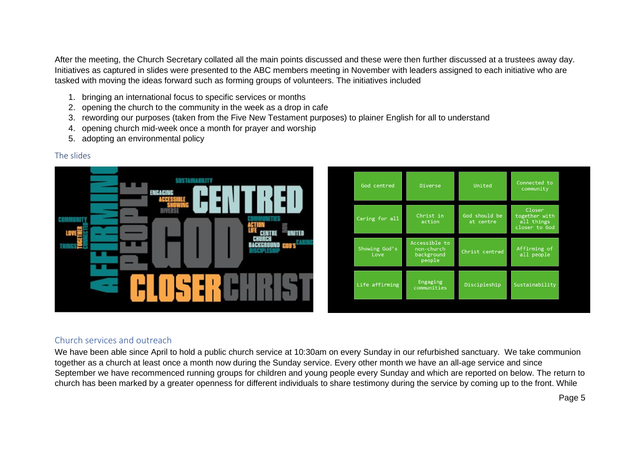After the meeting, the Church Secretary collated all the main points discussed and these were then further discussed at a trustees away day. Initiatives as captured in slides were presented to the ABC members meeting in November with leaders assigned to each initiative who are tasked with moving the ideas forward such as forming groups of volunteers. The initiatives included

- 1. bringing an international focus to specific services or months
- 2. opening the church to the community in the week as a drop in cafe
- 3. rewording our purposes (taken from the Five New Testament purposes) to plainer English for all to understand
- 4. opening church mid-week once a month for prayer and worship
- 5. adopting an environmental policy

| Closer<br><b>DIVERSE</b><br>Christ in<br>God should be<br>together with<br>Caring for all<br>VITIES<br>COMMUNI<br>all things<br>action<br>at centre<br>ACTION<br>closer to God<br>UNITED<br><b>CENTRE</b><br>CHURCH<br>BACKGROUND COD'S <sup>CAL</sup><br>Accessible to<br><b>I</b><br><b>THINGS<sup>2</sup>2</b><br>Showing God's<br>Affirming of<br>non-church<br>ISCIPLESHIP<br>Christ centred<br><b>STATE</b><br>all people<br>background<br>Love<br>people<br>-<br><b>STATE</b><br>Engaging<br>Life affirming<br>Discipleship<br>Sustainability<br>communities | <b>SUSTAINABILITY</b><br>ENGAGING<br>ACCESSI | God centred | Diverse | United | Connected to<br>community |
|---------------------------------------------------------------------------------------------------------------------------------------------------------------------------------------------------------------------------------------------------------------------------------------------------------------------------------------------------------------------------------------------------------------------------------------------------------------------------------------------------------------------------------------------------------------------|----------------------------------------------|-------------|---------|--------|---------------------------|
|                                                                                                                                                                                                                                                                                                                                                                                                                                                                                                                                                                     |                                              |             |         |        |                           |
|                                                                                                                                                                                                                                                                                                                                                                                                                                                                                                                                                                     |                                              |             |         |        |                           |
|                                                                                                                                                                                                                                                                                                                                                                                                                                                                                                                                                                     |                                              |             |         |        |                           |

# <span id="page-4-0"></span>The slides

# <span id="page-4-1"></span>Church services and outreach

We have been able since April to hold a public church service at 10:30am on every Sunday in our refurbished sanctuary. We take communion together as a church at least once a month now during the Sunday service. Every other month we have an all-age service and since September we have recommenced running groups for children and young people every Sunday and which are reported on below. The return to church has been marked by a greater openness for different individuals to share testimony during the service by coming up to the front. While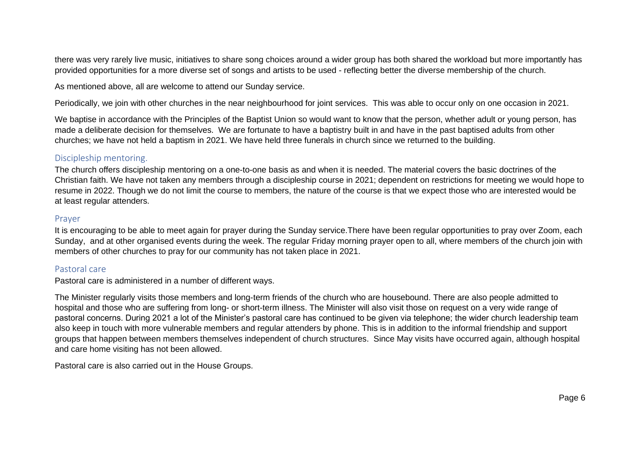there was very rarely live music, initiatives to share song choices around a wider group has both shared the workload but more importantly has provided opportunities for a more diverse set of songs and artists to be used - reflecting better the diverse membership of the church.

As mentioned above, all are welcome to attend our Sunday service.

Periodically, we join with other churches in the near neighbourhood for joint services. This was able to occur only on one occasion in 2021.

We baptise in accordance with the Principles of the Baptist Union so would want to know that the person, whether adult or young person, has made a deliberate decision for themselves. We are fortunate to have a baptistry built in and have in the past baptised adults from other churches; we have not held a baptism in 2021. We have held three funerals in church since we returned to the building.

# <span id="page-5-0"></span>Discipleship mentoring.

The church offers discipleship mentoring on a one-to-one basis as and when it is needed. The material covers the basic doctrines of the Christian faith. We have not taken any members through a discipleship course in 2021; dependent on restrictions for meeting we would hope to resume in 2022. Though we do not limit the course to members, the nature of the course is that we expect those who are interested would be at least regular attenders.

#### <span id="page-5-1"></span>Prayer

It is encouraging to be able to meet again for prayer during the Sunday service.There have been regular opportunities to pray over Zoom, each Sunday, and at other organised events during the week. The regular Friday morning prayer open to all, where members of the church join with members of other churches to pray for our community has not taken place in 2021.

# <span id="page-5-2"></span>Pastoral care

Pastoral care is administered in a number of different ways.

The Minister regularly visits those members and long-term friends of the church who are housebound. There are also people admitted to hospital and those who are suffering from long- or short-term illness. The Minister will also visit those on request on a very wide range of pastoral concerns. During 2021 a lot of the Minister's pastoral care has continued to be given via telephone; the wider church leadership team also keep in touch with more vulnerable members and regular attenders by phone. This is in addition to the informal friendship and support groups that happen between members themselves independent of church structures. Since May visits have occurred again, although hospital and care home visiting has not been allowed.

Pastoral care is also carried out in the House Groups.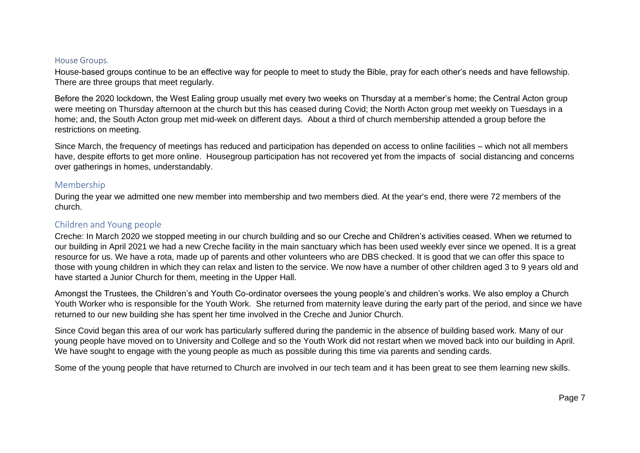#### <span id="page-6-0"></span>House Groups.

House-based groups continue to be an effective way for people to meet to study the Bible, pray for each other's needs and have fellowship. There are three groups that meet regularly.

Before the 2020 lockdown, the West Ealing group usually met every two weeks on Thursday at a member's home; the Central Acton group were meeting on Thursday afternoon at the church but this has ceased during Covid; the North Acton group met weekly on Tuesdays in a home; and, the South Acton group met mid-week on different days. About a third of church membership attended a group before the restrictions on meeting.

Since March, the frequency of meetings has reduced and participation has depended on access to online facilities – which not all members have, despite efforts to get more online. Housegroup participation has not recovered yet from the impacts of social distancing and concerns over gatherings in homes, understandably.

#### <span id="page-6-1"></span>Membership

During the year we admitted one new member into membership and two members died. At the year's end, there were 72 members of the church.

## <span id="page-6-2"></span>Children and Young people

Creche: In March 2020 we stopped meeting in our church building and so our Creche and Children's activities ceased. When we returned to our building in April 2021 we had a new Creche facility in the main sanctuary which has been used weekly ever since we opened. It is a great resource for us. We have a rota, made up of parents and other volunteers who are DBS checked. It is good that we can offer this space to those with young children in which they can relax and listen to the service. We now have a number of other children aged 3 to 9 years old and have started a Junior Church for them, meeting in the Upper Hall.

Amongst the Trustees, the Children's and Youth Co-ordinator oversees the young people's and children's works. We also employ a Church Youth Worker who is responsible for the Youth Work. She returned from maternity leave during the early part of the period, and since we have returned to our new building she has spent her time involved in the Creche and Junior Church.

Since Covid began this area of our work has particularly suffered during the pandemic in the absence of building based work. Many of our young people have moved on to University and College and so the Youth Work did not restart when we moved back into our building in April. We have sought to engage with the young people as much as possible during this time via parents and sending cards.

Some of the young people that have returned to Church are involved in our tech team and it has been great to see them learning new skills.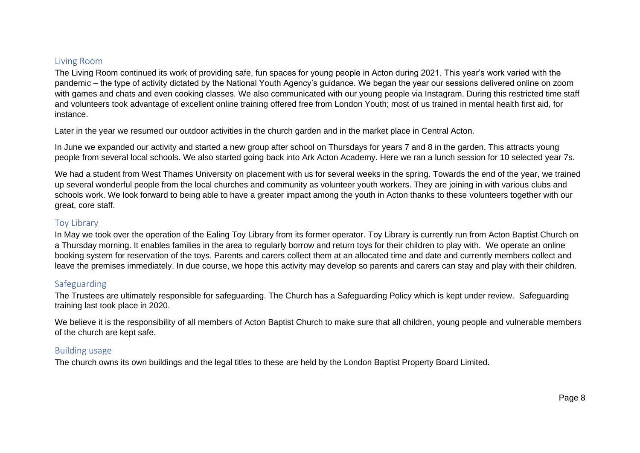# <span id="page-7-0"></span>Living Room

The Living Room continued its work of providing safe, fun spaces for young people in Acton during 2021. This year's work varied with the pandemic – the type of activity dictated by the National Youth Agency's guidance. We began the year our sessions delivered online on zoom with games and chats and even cooking classes. We also communicated with our young people via Instagram. During this restricted time staff and volunteers took advantage of excellent online training offered free from London Youth; most of us trained in mental health first aid, for instance.

Later in the year we resumed our outdoor activities in the church garden and in the market place in Central Acton.

In June we expanded our activity and started a new group after school on Thursdays for years 7 and 8 in the garden. This attracts young people from several local schools. We also started going back into Ark Acton Academy. Here we ran a lunch session for 10 selected year 7s.

We had a student from West Thames University on placement with us for several weeks in the spring. Towards the end of the year, we trained up several wonderful people from the local churches and community as volunteer youth workers. They are joining in with various clubs and schools work. We look forward to being able to have a greater impact among the youth in Acton thanks to these volunteers together with our great, core staff.

# <span id="page-7-1"></span>Toy Library

In May we took over the operation of the Ealing Toy Library from its former operator. Toy Library is currently run from Acton Baptist Church on a Thursday morning. It enables families in the area to regularly borrow and return toys for their children to play with. We operate an online booking system for reservation of the toys. Parents and carers collect them at an allocated time and date and currently members collect and leave the premises immediately. In due course, we hope this activity may develop so parents and carers can stay and play with their children.

# <span id="page-7-2"></span>Safeguarding

The Trustees are ultimately responsible for safeguarding. The Church has a Safeguarding Policy which is kept under review. Safeguarding training last took place in 2020.

We believe it is the responsibility of all members of Acton Baptist Church to make sure that all children, young people and vulnerable members of the church are kept safe.

# <span id="page-7-3"></span>Building usage

The church owns its own buildings and the legal titles to these are held by the London Baptist Property Board Limited.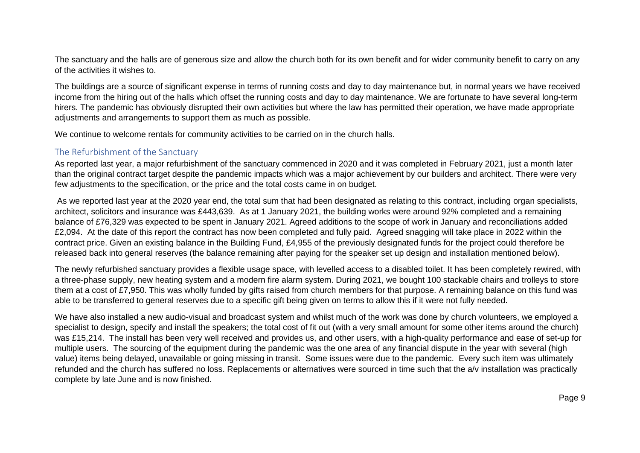The sanctuary and the halls are of generous size and allow the church both for its own benefit and for wider community benefit to carry on any of the activities it wishes to.

The buildings are a source of significant expense in terms of running costs and day to day maintenance but, in normal years we have received income from the hiring out of the halls which offset the running costs and day to day maintenance. We are fortunate to have several long-term hirers. The pandemic has obviously disrupted their own activities but where the law has permitted their operation, we have made appropriate adjustments and arrangements to support them as much as possible.

We continue to welcome rentals for community activities to be carried on in the church halls.

# <span id="page-8-0"></span>The Refurbishment of the Sanctuary

As reported last year, a major refurbishment of the sanctuary commenced in 2020 and it was completed in February 2021, just a month later than the original contract target despite the pandemic impacts which was a major achievement by our builders and architect. There were very few adjustments to the specification, or the price and the total costs came in on budget.

As we reported last year at the 2020 year end, the total sum that had been designated as relating to this contract, including organ specialists, architect, solicitors and insurance was £443,639. As at 1 January 2021, the building works were around 92% completed and a remaining balance of £76,329 was expected to be spent in January 2021. Agreed additions to the scope of work in January and reconciliations added £2,094. At the date of this report the contract has now been completed and fully paid. Agreed snagging will take place in 2022 within the contract price. Given an existing balance in the Building Fund, £4,955 of the previously designated funds for the project could therefore be released back into general reserves (the balance remaining after paying for the speaker set up design and installation mentioned below).

The newly refurbished sanctuary provides a flexible usage space, with levelled access to a disabled toilet. It has been completely rewired, with a three-phase supply, new heating system and a modern fire alarm system. During 2021, we bought 100 stackable chairs and trolleys to store them at a cost of £7,950. This was wholly funded by gifts raised from church members for that purpose. A remaining balance on this fund was able to be transferred to general reserves due to a specific gift being given on terms to allow this if it were not fully needed.

We have also installed a new audio-visual and broadcast system and whilst much of the work was done by church volunteers, we employed a specialist to design, specify and install the speakers; the total cost of fit out (with a very small amount for some other items around the church) was £15,214. The install has been very well received and provides us, and other users, with a high-quality performance and ease of set-up for multiple users. The sourcing of the equipment during the pandemic was the one area of any financial dispute in the year with several (high value) items being delayed, unavailable or going missing in transit. Some issues were due to the pandemic. Every such item was ultimately refunded and the church has suffered no loss. Replacements or alternatives were sourced in time such that the a/v installation was practically complete by late June and is now finished.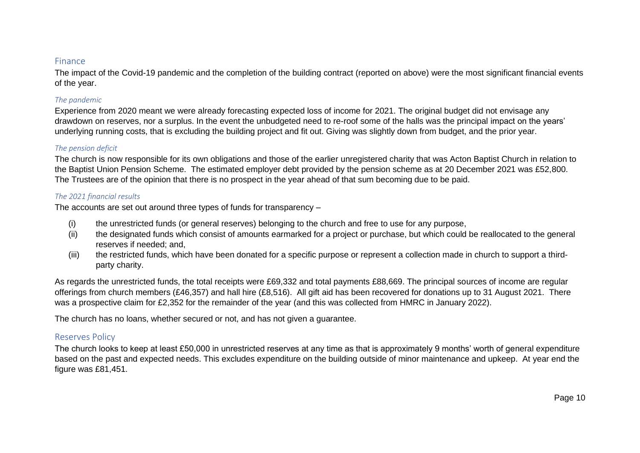#### <span id="page-9-0"></span>Finance

The impact of the Covid-19 pandemic and the completion of the building contract (reported on above) were the most significant financial events of the year.

#### <span id="page-9-1"></span>*The pandemic*

Experience from 2020 meant we were already forecasting expected loss of income for 2021. The original budget did not envisage any drawdown on reserves, nor a surplus. In the event the unbudgeted need to re-roof some of the halls was the principal impact on the years' underlying running costs, that is excluding the building project and fit out. Giving was slightly down from budget, and the prior year.

#### <span id="page-9-2"></span>*The pension deficit*

The church is now responsible for its own obligations and those of the earlier unregistered charity that was Acton Baptist Church in relation to the Baptist Union Pension Scheme. The estimated employer debt provided by the pension scheme as at 20 December 2021 was £52,800. The Trustees are of the opinion that there is no prospect in the year ahead of that sum becoming due to be paid.

#### <span id="page-9-3"></span>*The 2021 financial results*

The accounts are set out around three types of funds for transparency –

- (i) the unrestricted funds (or general reserves) belonging to the church and free to use for any purpose,
- (ii) the designated funds which consist of amounts earmarked for a project or purchase, but which could be reallocated to the general reserves if needed; and,
- (iii) the restricted funds, which have been donated for a specific purpose or represent a collection made in church to support a thirdparty charity.

As regards the unrestricted funds, the total receipts were £69,332 and total payments £88,669. The principal sources of income are regular offerings from church members (£46,357) and hall hire (£8,516). All gift aid has been recovered for donations up to 31 August 2021. There was a prospective claim for £2,352 for the remainder of the year (and this was collected from HMRC in January 2022).

The church has no loans, whether secured or not, and has not given a guarantee.

# <span id="page-9-4"></span>Reserves Policy

The church looks to keep at least £50,000 in unrestricted reserves at any time as that is approximately 9 months' worth of general expenditure based on the past and expected needs. This excludes expenditure on the building outside of minor maintenance and upkeep. At year end the figure was £81,451.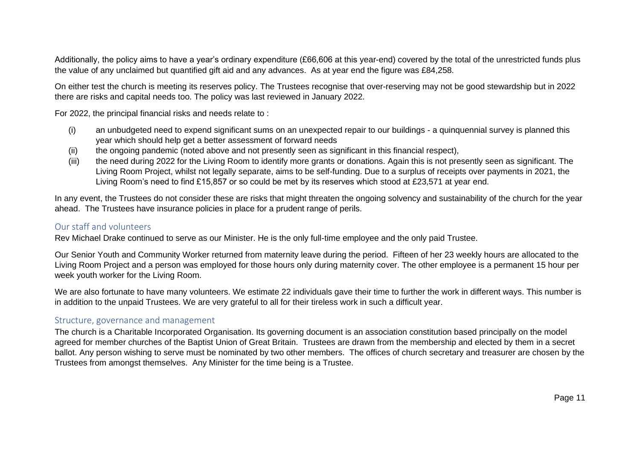Additionally, the policy aims to have a year's ordinary expenditure (£66,606 at this year-end) covered by the total of the unrestricted funds plus the value of any unclaimed but quantified gift aid and any advances. As at year end the figure was £84,258.

On either test the church is meeting its reserves policy. The Trustees recognise that over-reserving may not be good stewardship but in 2022 there are risks and capital needs too. The policy was last reviewed in January 2022.

For 2022, the principal financial risks and needs relate to :

- (i) an unbudgeted need to expend significant sums on an unexpected repair to our buildings a quinquennial survey is planned this year which should help get a better assessment of forward needs
- (ii) the ongoing pandemic (noted above and not presently seen as significant in this financial respect),
- (iii) the need during 2022 for the Living Room to identify more grants or donations. Again this is not presently seen as significant. The Living Room Project, whilst not legally separate, aims to be self-funding. Due to a surplus of receipts over payments in 2021, the Living Room's need to find £15,857 or so could be met by its reserves which stood at £23,571 at year end.

In any event, the Trustees do not consider these are risks that might threaten the ongoing solvency and sustainability of the church for the year ahead. The Trustees have insurance policies in place for a prudent range of perils.

# <span id="page-10-0"></span>Our staff and volunteers

Rev Michael Drake continued to serve as our Minister. He is the only full-time employee and the only paid Trustee.

Our Senior Youth and Community Worker returned from maternity leave during the period. Fifteen of her 23 weekly hours are allocated to the Living Room Project and a person was employed for those hours only during maternity cover. The other employee is a permanent 15 hour per week youth worker for the Living Room.

We are also fortunate to have many volunteers. We estimate 22 individuals gave their time to further the work in different ways. This number is in addition to the unpaid Trustees. We are very grateful to all for their tireless work in such a difficult year.

# <span id="page-10-1"></span>Structure, governance and management

The church is a Charitable Incorporated Organisation. Its governing document is an association constitution based principally on the model agreed for member churches of the Baptist Union of Great Britain. Trustees are drawn from the membership and elected by them in a secret ballot. Any person wishing to serve must be nominated by two other members. The offices of church secretary and treasurer are chosen by the Trustees from amongst themselves. Any Minister for the time being is a Trustee.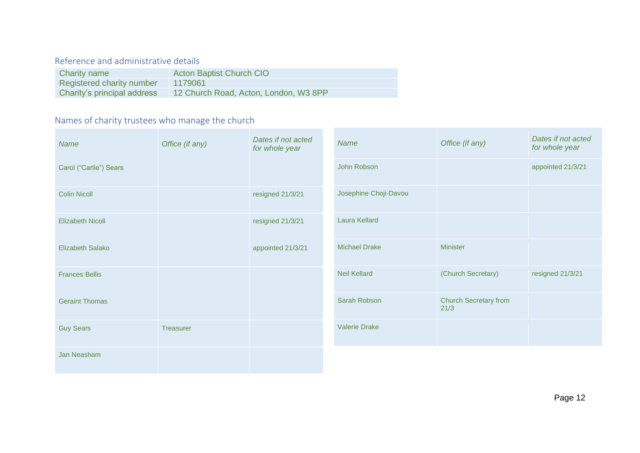# <span id="page-11-0"></span>Reference and administrative details

| Charity name                     | <b>Acton Baptist Church CIO</b>       |
|----------------------------------|---------------------------------------|
| <b>Registered charity number</b> | 1179061                               |
| Charity's principal address      | 12 Church Road, Acton, London, W3 8PP |

# <span id="page-11-1"></span>Names of charity trustees who manage the church

| <b>Name</b>             | Office (if any)  | Dates if not acted<br>for whole year | Name                  | Office (if any)                      | Dates if not acted<br>for whole year |
|-------------------------|------------------|--------------------------------------|-----------------------|--------------------------------------|--------------------------------------|
| Carol ("Carlie") Sears  |                  |                                      | John Robson           |                                      | appointed 21/3/21                    |
| <b>Colin Nicoll</b>     |                  | resigned 21/3/21                     | Josephine Choji-Davou |                                      |                                      |
| <b>Elizabeth Nicoll</b> |                  | resigned 21/3/21                     | <b>Laura Kellard</b>  |                                      |                                      |
| Elizabeth Salako        |                  | appointed 21/3/21                    | <b>Michael Drake</b>  | <b>Minister</b>                      |                                      |
| <b>Frances Bellis</b>   |                  |                                      | <b>Neil Kellard</b>   | (Church Secretary)                   | resigned 21/3/21                     |
| <b>Geraint Thomas</b>   |                  |                                      | Sarah Robson          | <b>Church Secretary from</b><br>21/3 |                                      |
| <b>Guy Sears</b>        | <b>Treasurer</b> |                                      | <b>Valerie Drake</b>  |                                      |                                      |
| Jan Neasham             |                  |                                      |                       |                                      |                                      |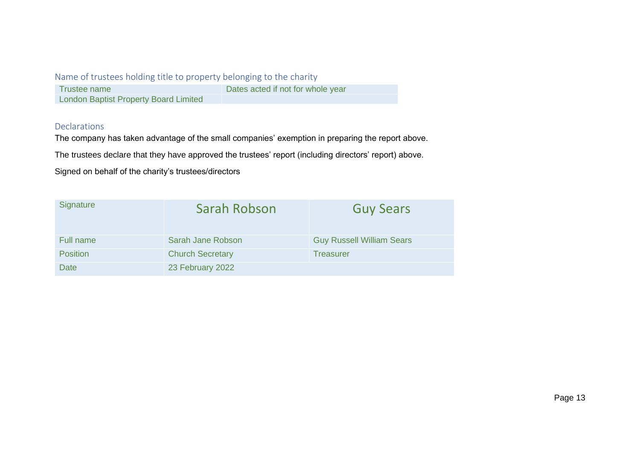# <span id="page-12-0"></span>Name of trustees holding title to property belonging to the charity

| Trustee name                                 | Dates acted if not for whole year |
|----------------------------------------------|-----------------------------------|
| <b>London Baptist Property Board Limited</b> |                                   |

# <span id="page-12-1"></span>Declarations

The company has taken advantage of the small companies' exemption in preparing the report above.

The trustees declare that they have approved the trustees' report (including directors' report) above.

Signed on behalf of the charity's trustees/directors

| Signature       | Sarah Robson            | <b>Guy Sears</b>                 |
|-----------------|-------------------------|----------------------------------|
| Full name       | Sarah Jane Robson       | <b>Guy Russell William Sears</b> |
| <b>Position</b> | <b>Church Secretary</b> | <b>Treasurer</b>                 |
| Date            | 23 February 2022        |                                  |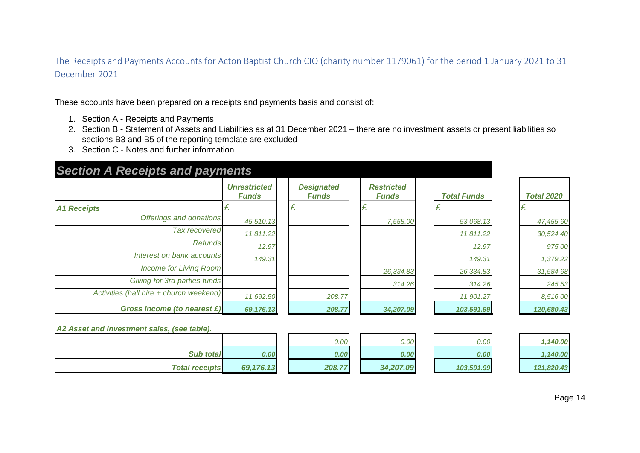<span id="page-13-0"></span>The Receipts and Payments Accounts for Acton Baptist Church CIO (charity number 1179061) for the period 1 January 2021 to 31 December 2021

These accounts have been prepared on a receipts and payments basis and consist of:

- 1. Section A Receipts and Payments
- 2. Section B Statement of Assets and Liabilities as at 31 December 2021 there are no investment assets or present liabilities so sections B3 and B5 of the reporting template are excluded
- 3. Section C Notes and further information

| <b>Section A Receipts and payments</b>      |                                     |                                   |                                   |                    |                   |
|---------------------------------------------|-------------------------------------|-----------------------------------|-----------------------------------|--------------------|-------------------|
|                                             | <b>Unrestricted</b><br><b>Funds</b> | <b>Designated</b><br><b>Funds</b> | <b>Restricted</b><br><b>Funds</b> | <b>Total Funds</b> | <b>Total 2020</b> |
| <b>A1 Receipts</b>                          |                                     | £                                 |                                   | £                  | £                 |
| Offerings and donations                     | 45,510.13                           |                                   | 7,558.00                          | 53,068.13          | 47,455.60         |
| <b>Tax recovered</b>                        | 11,811.22                           |                                   |                                   | 11,811.22          | 30,524.40         |
| <b>Refunds</b>                              | 12.97                               |                                   |                                   | 12.97              | 975.00            |
| Interest on bank accounts                   | 149.31                              |                                   |                                   | 149.31             | 1,379.22          |
| <b>Income for Living Room</b>               |                                     |                                   | 26,334.83                         | 26,334.83          | 31,584.68         |
| Giving for 3rd parties funds                |                                     |                                   | 314.26                            | 314.26             | 245.53            |
| Activities (hall hire + church weekend)     | 11,692.50                           | 208.77                            |                                   | 11,901.27          | 8,516.00          |
| Gross Income (to nearest £)                 | 69,176.13                           | 208.77                            | 34,207.09                         | 103,591.99         | 120,680.43        |
| A2 Asset and investment sales, (see table). |                                     |                                   |                                   |                    |                   |
|                                             |                                     | 0.00                              | 0.00                              | 0.00               | 1,140.00          |
| <b>Sub total</b>                            | 0.00                                | 0.00                              | 0.00                              | 0.00               | 1,140.00          |
| <b>Total receipts</b>                       | 69,176.13                           | 208.77                            | 34,207.09                         | 103,591.99         | 121,820.43        |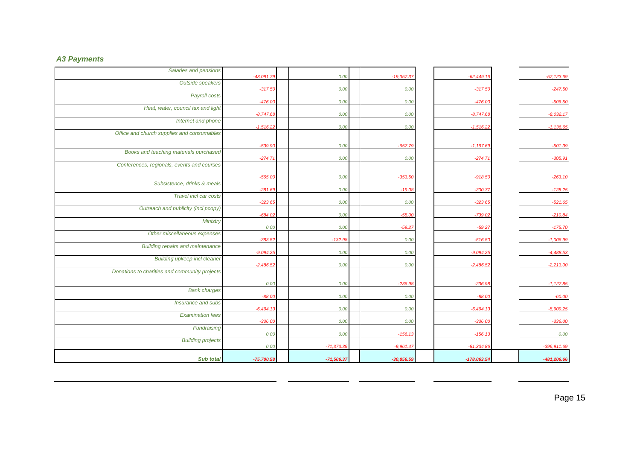# *A3 Payments*

| Salaries and pensions                         | $-43,091.79$ | 0.00         | $-19,357.37$ | $-62,449.16$  | $-57,123.69$  |
|-----------------------------------------------|--------------|--------------|--------------|---------------|---------------|
| Outside speakers                              | $-317.50$    | 0.00         | 0.00         | $-317.50$     | $-247.50$     |
| Payroll costs                                 | $-476.00$    | 0.00         | 0.00         | $-476.00$     | $-506.50$     |
| Heat, water, council tax and light            | $-8,747.68$  | 0.00         |              |               | $-8,032.17$   |
| Internet and phone                            |              |              | 0.00         | $-8,747.68$   |               |
| Office and church supplies and consumables    | $-1,516.22$  | 0.00         | 0.00         | $-1,516.22$   | $-1,136.65$   |
|                                               | $-539.90$    | 0.00         | $-657.79$    | $-1,197.69$   | $-501.39$     |
| Books and teaching materials purchased        | $-274.71$    | 0.00         | 0.00         | $-274.71$     | $-305.91$     |
| Conferences, regionals, events and courses    |              |              |              |               |               |
|                                               | $-565.00$    | 0.00         | $-353.50$    | $-918.50$     | $-263.10$     |
| Subsistence, drinks & meals                   | $-281.69$    | 0.00         | $-19.08$     | $-300.77$     | $-128.25$     |
| Travel incl car costs                         | $-323.65$    | 0.00         | 0.00         | $-323.65$     | $-521.65$     |
| Outreach and publicity (incl pcopy)           | $-684.02$    | 0.00         | $-55.00$     | $-739.02$     | $-210.84$     |
| Ministry                                      | 0.00         | 0.00         | $-59.27$     | $-59.27$      | $-175.70$     |
| Other miscellaneous expenses                  | $-383.52$    | $-132.98$    | 0.00         | $-516.50$     | $-1,006.99$   |
| <b>Building repairs and maintenance</b>       | $-9,094.25$  | 0.00         |              | $-9,094.25$   | $-4,488.53$   |
| <b>Building upkeep incl cleaner</b>           |              |              | 0.00         |               |               |
| Donations to charities and community projects | $-2,486.52$  | 0.00         | 0.00         | $-2,486.52$   | $-2,213.00$   |
|                                               | 0.00         | 0.00         | $-236.98$    | $-236.98$     | $-1,127.85$   |
| <b>Bank charges</b>                           | $-88.00$     | 0.00         | 0.00         | $-88.00$      | $-60.00$      |
| Insurance and subs                            | $-6,494.13$  | 0.00         | 0.00         | $-6,494.13$   | $-5,909.25$   |
| <b>Examination fees</b>                       | $-336.00$    | 0.00         | 0.00         | $-336.00$     | $-336.00$     |
| Fundraising                                   |              |              |              |               |               |
| <b>Building projects</b>                      | 0.00         | 0.00         | $-156.13$    | $-156.13$     | 0.00          |
|                                               | 0.00         | $-71,373.39$ | $-9,961.47$  | $-81,334.80$  | $-396,911.69$ |
| <b>Sub total</b>                              | $-75,700.58$ | $-71,506.37$ | $-30,856.59$ | $-178,063.54$ | $-481,206.66$ |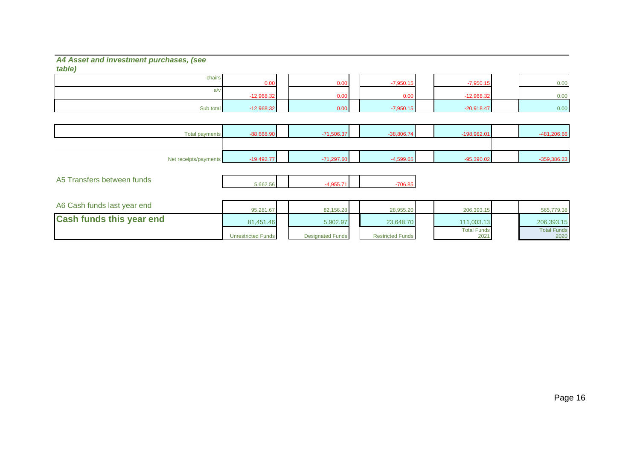#### *A4 Asset and investment purchases, (see table)*

| $\omega \nu \nu$ |              |      |             |              |      |
|------------------|--------------|------|-------------|--------------|------|
| chairs           |              |      |             |              |      |
|                  | 0.00         | 0.00 | $-7,950.15$ | $-7,950.15$  | 0.00 |
|                  |              |      |             |              |      |
|                  | $-12,968.32$ | 0.00 | 0.00        | $-12,968.32$ | 0.00 |
|                  |              |      |             |              |      |
| Sub total        | $-12,968.32$ | 0.00 | $-7,950.15$ | $-20,918.47$ | 0.00 |

| <b>Total payments</b> | $-88,668.90$ | $-71,506.37$ | $-38,806.74$ | $-198,982.01$ |               |
|-----------------------|--------------|--------------|--------------|---------------|---------------|
|                       |              |              |              |               |               |
| Net receipts/payments | $-19,492.77$ | $-71,297.60$ | $-4,599.65$  | $-95,390.02$  | $-359,386.23$ |

| A5 Transfers between funds | 5.662.56 |  | 706.85 |
|----------------------------|----------|--|--------|
|                            |          |  |        |

| A6 Cash funds last year end     | 95.281.67                 | 82,156.28               | 28.955.20               | 206.393.15                 | 565,779.38                 |
|---------------------------------|---------------------------|-------------------------|-------------------------|----------------------------|----------------------------|
| <b>Cash funds this year end</b> | 81.451.46                 | 5,902.97                | 23.648.70               | 111.003.13                 | 206.393.15                 |
|                                 | <b>Unrestricted Funds</b> | <b>Designated Funds</b> | <b>Restricted Funds</b> | <b>Total Funds</b><br>2021 | <b>Total Funds</b><br>2020 |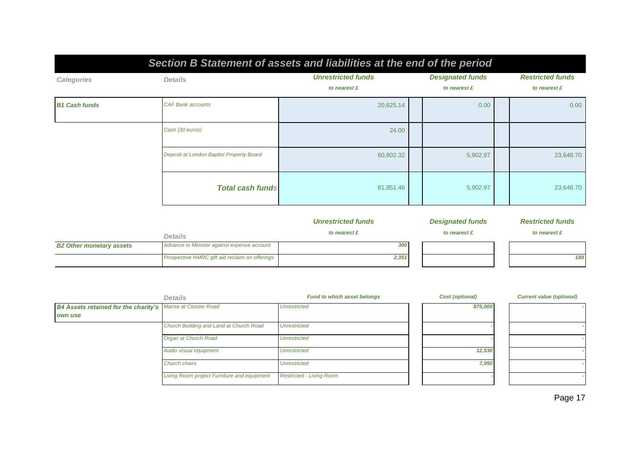| Section B Statement of assets and liabilities at the end of the period |                                          |                                           |  |                                         |  |                                         |  |
|------------------------------------------------------------------------|------------------------------------------|-------------------------------------------|--|-----------------------------------------|--|-----------------------------------------|--|
| Categories                                                             | <b>Details</b>                           | <b>Unrestricted funds</b><br>to nearest £ |  | <b>Designated funds</b><br>to nearest £ |  | <b>Restricted funds</b><br>to nearest £ |  |
| <b>B1 Cash funds</b>                                                   | <b>CAF Bank accounts</b>                 | 20,625.14                                 |  | 0.00                                    |  | 0.00                                    |  |
|                                                                        | Cash (30 euros)                          | 24.00                                     |  |                                         |  |                                         |  |
|                                                                        | Deposit at London Baptist Property Board | 60,802.32                                 |  | 5,902.97                                |  | 23,648.70                               |  |
|                                                                        | <b>Total cash funds</b>                  | 81,851.46                                 |  | 5,902.97                                |  | 23,648.70                               |  |

|                                 |                                                | <b>Unrestricted funds</b> | <b>Designated funds</b> | <b>Restricted funds</b> |
|---------------------------------|------------------------------------------------|---------------------------|-------------------------|-------------------------|
|                                 | <b>Details</b>                                 | to nearest £              | to nearest £            | to nearest £            |
| <b>B2 Other monetary assets</b> | Advance to Minister against expense account    | 300                       |                         |                         |
|                                 | Prospective HMRC gift aid reclaim on offerings | 2,351                     |                         | 189                     |

|                                                                    | <b>Details</b>                              | <b>Fund to which asset belongs</b> | Cost (optional) | <b>Current value (optional)</b> |
|--------------------------------------------------------------------|---------------------------------------------|------------------------------------|-----------------|---------------------------------|
| <b>B4 Assets retained for the charity's</b> Manse at Cloister Road |                                             | <b>Unrestricted</b>                | 875,000         |                                 |
| own use                                                            |                                             |                                    |                 |                                 |
|                                                                    | Church Building and Land at Church Road     | <b>Unrestricted</b>                |                 |                                 |
|                                                                    | Organ at Church Road                        | <b>Unrestricted</b>                |                 |                                 |
|                                                                    | Audio visual equipment                      | <b>Unrestricted</b>                | 12,530          |                                 |
|                                                                    | Church chairs                               | <b>Unrestricted</b>                | 7,950           |                                 |
|                                                                    | Living Room project Furniture and equipment | <b>Restricted - Living Room</b>    |                 |                                 |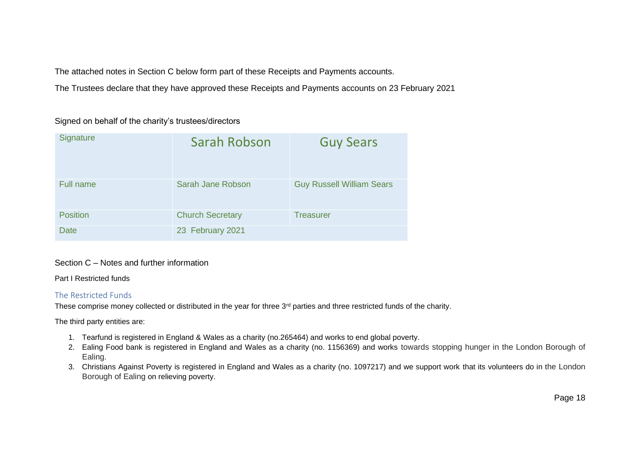The attached notes in Section C below form part of these Receipts and Payments accounts.

The Trustees declare that they have approved these Receipts and Payments accounts on 23 February 2021

## Signed on behalf of the charity's trustees/directors

| Signature        | Sarah Robson            | <b>Guy Sears</b>                 |
|------------------|-------------------------|----------------------------------|
| <b>Full name</b> | Sarah Jane Robson       | <b>Guy Russell William Sears</b> |
| <b>Position</b>  | <b>Church Secretary</b> | <b>Treasurer</b>                 |
| <b>Date</b>      | 23 February 2021        |                                  |

## Section C – Notes and further information

#### Part I Restricted funds

#### <span id="page-17-0"></span>The Restricted Funds

These comprise money collected or distributed in the year for three 3<sup>rd</sup> parties and three restricted funds of the charity.

The third party entities are:

- 1. Tearfund is registered in England & Wales as a charity (no.265464) and works to end global poverty.
- 2. Ealing Food bank is registered in England and Wales as a charity (no. 1156369) and works towards stopping hunger in the London Borough of Ealing.
- 3. Christians Against Poverty is registered in England and Wales as a charity (no. 1097217) and we support work that its volunteers do in the London Borough of Ealing on relieving poverty.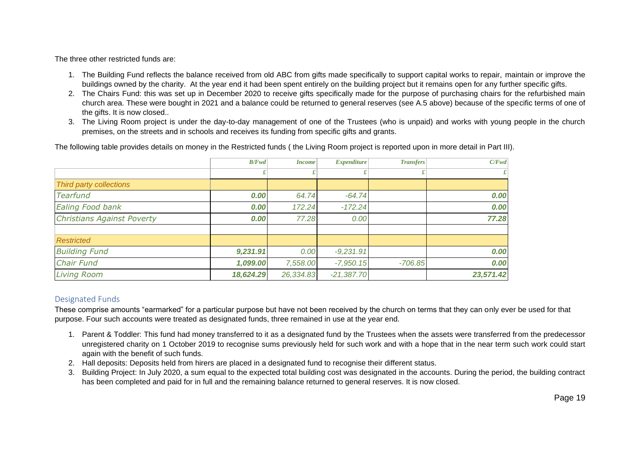The three other restricted funds are:

- 1. The Building Fund reflects the balance received from old ABC from gifts made specifically to support capital works to repair, maintain or improve the buildings owned by the charity. At the year end it had been spent entirely on the building project but it remains open for any further specific gifts.
- 2. The Chairs Fund: this was set up in December 2020 to receive gifts specifically made for the purpose of purchasing chairs for the refurbished main church area. These were bought in 2021 and a balance could be returned to general reserves (see A.5 above) because of the specific terms of one of the gifts. It is now closed..
- 3. The Living Room project is under the day-to-day management of one of the Trustees (who is unpaid) and works with young people in the church premises, on the streets and in schools and receives its funding from specific gifts and grants.

The following table provides details on money in the Restricted funds ( the Living Room project is reported upon in more detail in Part III).

|                                   | B/Fwd     | <i>Income</i> | <b>Expenditure</b> | <b>Transfers</b> | C/Fwd     |
|-----------------------------------|-----------|---------------|--------------------|------------------|-----------|
|                                   |           |               |                    |                  |           |
| Third party collections           |           |               |                    |                  |           |
| <b>Tearfund</b>                   | 0.00      | 64.74         | $-64.74$           |                  | 0.00      |
| Ealing Food bank                  | 0.00      | 172.24        | $-172.24$          |                  | 0.00      |
| <b>Christians Against Poverty</b> | 0.00      | 77.28         | 0.00               |                  | 77.28     |
|                                   |           |               |                    |                  |           |
| <b>Restricted</b>                 |           |               |                    |                  |           |
| <b>Building Fund</b>              | 9,231.91  | 0.00          | $-9,231.91$        |                  | 0.00      |
| <b>Chair Fund</b>                 | 1,099.00  | 7,558.00      | $-7,950.15$        | $-706.85$        | 0.00      |
| <b>Living Room</b>                | 18,624.29 | 26,334.83     | $-21,387.70$       |                  | 23,571.42 |

# <span id="page-18-0"></span>Designated Funds

These comprise amounts "earmarked" for a particular purpose but have not been received by the church on terms that they can only ever be used for that purpose. Four such accounts were treated as designated funds, three remained in use at the year end.

- 1. Parent & Toddler: This fund had money transferred to it as a designated fund by the Trustees when the assets were transferred from the predecessor unregistered charity on 1 October 2019 to recognise sums previously held for such work and with a hope that in the near term such work could start again with the benefit of such funds.
- 2. Hall deposits: Deposits held from hirers are placed in a designated fund to recognise their different status.
- 3. Building Project: In July 2020, a sum equal to the expected total building cost was designated in the accounts. During the period, the building contract has been completed and paid for in full and the remaining balance returned to general reserves. It is now closed.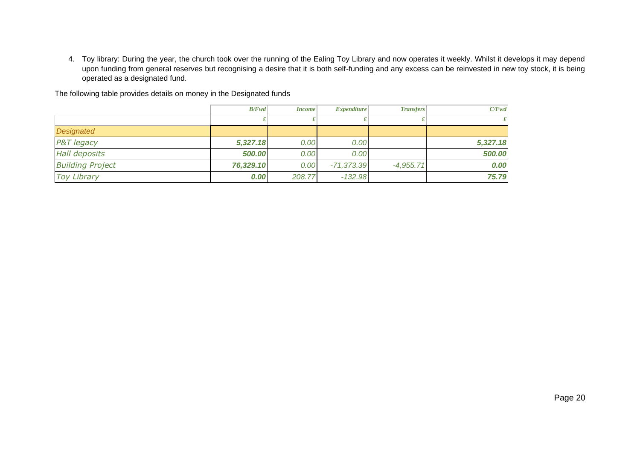4. Toy library: During the year, the church took over the running of the Ealing Toy Library and now operates it weekly. Whilst it develops it may depend upon funding from general reserves but recognising a desire that it is both self-funding and any excess can be reinvested in new toy stock, it is being operated as a designated fund.

|                         | B/Fwd     | <i>Income</i> | $Expendature$ | <b>Transfers</b> | C/Fwd    |
|-------------------------|-----------|---------------|---------------|------------------|----------|
|                         |           |               |               |                  |          |
| Designated              |           |               |               |                  |          |
| P&T legacy              | 5,327.18  | 0.00          | 0.00          |                  | 5,327.18 |
| <b>Hall deposits</b>    | 500.00    | 0.00          | 0.00          |                  | 500.00   |
| <b>Building Project</b> | 76,329.10 | 0.00          | $-71,373.39$  | $-4,955.71$      | 0.00     |
| <b>Toy Library</b>      | 0.00      | 208.77        | $-132.98$     |                  | 75.79    |

The following table provides details on money in the Designated funds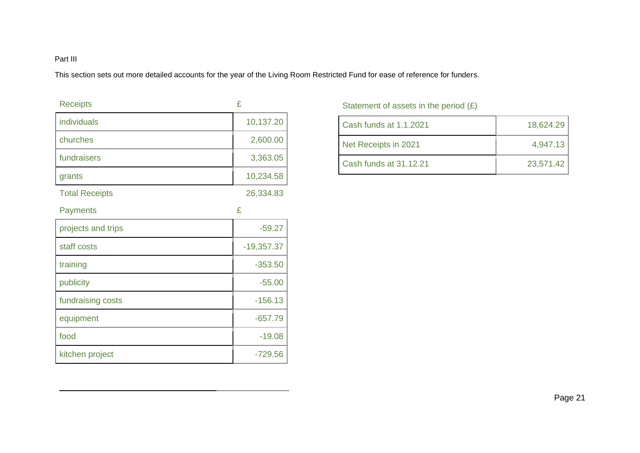# Part III

This section sets out more detailed accounts for the year of the Living Room Restricted Fund for ease of reference for funders.

| <b>Receipts</b>       | £            |
|-----------------------|--------------|
| individuals           | 10,137.20    |
| churches              | 2,600.00     |
| fundraisers           | 3,363.05     |
| grants                | 10,234.58    |
| <b>Total Receipts</b> | 26,334.83    |
| <b>Payments</b>       | £            |
| projects and trips    | $-59.27$     |
| staff costs           | $-19,357.37$ |
| training              | $-353.50$    |
| publicity             | $-55.00$     |
| fundraising costs     | $-156.13$    |
| equipment             | $-657.79$    |
| food                  | $-19.08$     |
| kitchen project       | $-729.56$    |

# Statement of assets in the period  $(E)$

| Cash funds at 1.1.2021 | 18,624.29 |
|------------------------|-----------|
| Net Receipts in 2021   | 4,947.13  |
| Cash funds at 31.12.21 | 23,571.42 |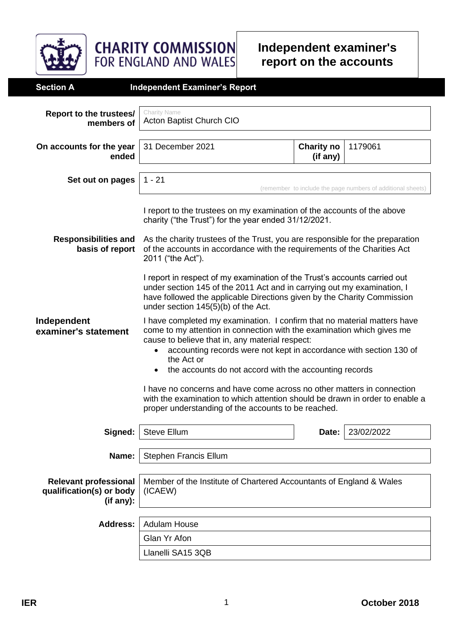

**Independent examiner's report on the accounts**

| <b>Section A</b>                                                                      | <b>Independent Examiner's Report</b>                                                                                                                                                                                                                                                                                                                                                                                                                                                                                                                                                                                                                                                                                                                                                                                                                                                                                                                                         |  |                                                             |  |  |  |
|---------------------------------------------------------------------------------------|------------------------------------------------------------------------------------------------------------------------------------------------------------------------------------------------------------------------------------------------------------------------------------------------------------------------------------------------------------------------------------------------------------------------------------------------------------------------------------------------------------------------------------------------------------------------------------------------------------------------------------------------------------------------------------------------------------------------------------------------------------------------------------------------------------------------------------------------------------------------------------------------------------------------------------------------------------------------------|--|-------------------------------------------------------------|--|--|--|
| Report to the trustees/<br>members of                                                 | Charity Name<br>Acton Baptist Church CIO                                                                                                                                                                                                                                                                                                                                                                                                                                                                                                                                                                                                                                                                                                                                                                                                                                                                                                                                     |  |                                                             |  |  |  |
| On accounts for the year<br>ended                                                     | 31 December 2021<br>1179061<br><b>Charity no</b><br>(if any)                                                                                                                                                                                                                                                                                                                                                                                                                                                                                                                                                                                                                                                                                                                                                                                                                                                                                                                 |  |                                                             |  |  |  |
| Set out on pages                                                                      | $1 - 21$                                                                                                                                                                                                                                                                                                                                                                                                                                                                                                                                                                                                                                                                                                                                                                                                                                                                                                                                                                     |  | (remember to include the page numbers of additional sheets) |  |  |  |
| <b>Responsibilities and</b><br>basis of report<br>Independent<br>examiner's statement | I report to the trustees on my examination of the accounts of the above<br>charity ("the Trust") for the year ended 31/12/2021.<br>As the charity trustees of the Trust, you are responsible for the preparation<br>of the accounts in accordance with the requirements of the Charities Act<br>2011 ("the Act").<br>I report in respect of my examination of the Trust's accounts carried out<br>under section 145 of the 2011 Act and in carrying out my examination, I<br>have followed the applicable Directions given by the Charity Commission<br>under section 145(5)(b) of the Act.<br>I have completed my examination. I confirm that no material matters have<br>come to my attention in connection with the examination which gives me<br>cause to believe that in, any material respect:<br>accounting records were not kept in accordance with section 130 of<br>$\bullet$<br>the Act or<br>the accounts do not accord with the accounting records<br>$\bullet$ |  |                                                             |  |  |  |
|                                                                                       | I have no concerns and have come across no other matters in connection<br>with the examination to which attention should be drawn in order to enable a<br>proper understanding of the accounts to be reached.                                                                                                                                                                                                                                                                                                                                                                                                                                                                                                                                                                                                                                                                                                                                                                |  |                                                             |  |  |  |
| Signed:                                                                               | <b>Steve Ellum</b><br>23/02/2022<br>Date:                                                                                                                                                                                                                                                                                                                                                                                                                                                                                                                                                                                                                                                                                                                                                                                                                                                                                                                                    |  |                                                             |  |  |  |
| Name:                                                                                 | <b>Stephen Francis Ellum</b>                                                                                                                                                                                                                                                                                                                                                                                                                                                                                                                                                                                                                                                                                                                                                                                                                                                                                                                                                 |  |                                                             |  |  |  |
| <b>Relevant professional</b><br>qualification(s) or body<br>(if any):                 | Member of the Institute of Chartered Accountants of England & Wales<br>(ICAEW)                                                                                                                                                                                                                                                                                                                                                                                                                                                                                                                                                                                                                                                                                                                                                                                                                                                                                               |  |                                                             |  |  |  |
| <b>Address:</b>                                                                       | <b>Adulam House</b>                                                                                                                                                                                                                                                                                                                                                                                                                                                                                                                                                                                                                                                                                                                                                                                                                                                                                                                                                          |  |                                                             |  |  |  |
|                                                                                       | Glan Yr Afon                                                                                                                                                                                                                                                                                                                                                                                                                                                                                                                                                                                                                                                                                                                                                                                                                                                                                                                                                                 |  |                                                             |  |  |  |
|                                                                                       | Llanelli SA15 3QB                                                                                                                                                                                                                                                                                                                                                                                                                                                                                                                                                                                                                                                                                                                                                                                                                                                                                                                                                            |  |                                                             |  |  |  |